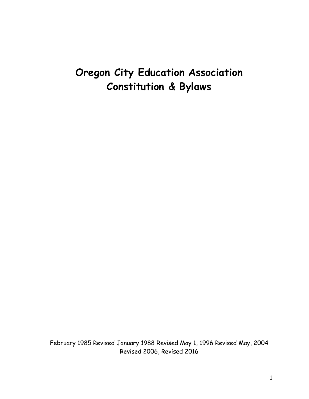# **Oregon City Education Association Constitution & Bylaws**

February 1985 Revised January 1988 Revised May 1, 1996 Revised May, 2004 Revised 2006, Revised 2016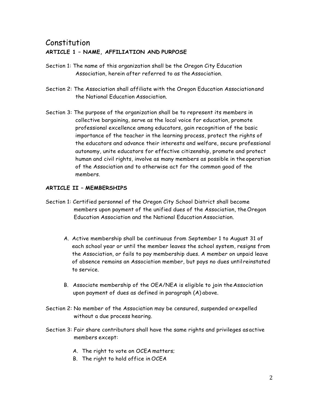# Constitution **ARTICLE 1 – NAME, AFFILIATION AND PURPOSE**

- Section 1: The name of this organization shall be the Oregon City Education Association, herein after referred to as the Association.
- Section 2: The Association shall affiliate with the Oregon Education Association and the National Education Association.
- Section 3: The purpose of the organization shall be to represent its members in collective bargaining, serve as the local voice for education, promote professional excellence among educators, gain recognition of the basic importance of the teacher in the learning process, protect the rights of the educators and advance their interests and welfare, secure professional autonomy, unite educators for effective citizenship, promote and protect human and civil rights, involve as many members as possible in the operation of the Association and to otherwise act for the common good of the members.

#### **ARTICLE II – MEMBERSHIPS**

- Section 1: Certified personnel of the Oregon City School District shall become members upon payment of the unified dues of the Association, theOregon Education Association and the National Education Association.
	- A. Active membership shall be continuous from September 1 to August 31 of each school year or until the member leaves the school system, resigns from the Association, or fails to pay membership dues. A member on unpaid leave of absence remains an Association member, but pays no dues untilreinstated to service.
	- B. Associate membership of the OEA/NEA is eligible to join theAssociation upon payment of dues as defined in paragraph (A) above.
- Section 2: No member of the Association may be censured, suspended orexpelled without a due process hearing.
- Section 3: Fair share contributors shall have the same rights and privileges asactive members except:
	- A. The right to vote on OCEA matters;
	- B. The right to hold office in OCEA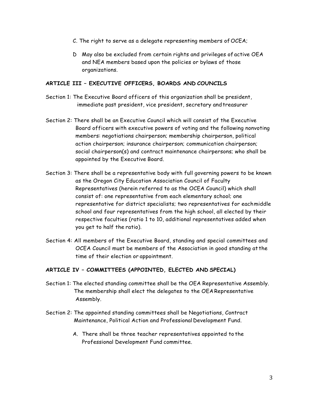- C. The right to serve as a delegate representing members of OCEA;
- D May also be excluded from certain rights and privileges of active OEA and NEA members based upon the policies or bylaws of those organizations.

#### **ARTICLE III – EXECUTIVE OFFICERS, BOARDS AND COUNCILS**

- Section 1: The Executive Board officers of this organization shall be president, immediate past president, vice president, secretary and treasurer
- Section 2: There shall be an Executive Council which will consist of the Executive Board officers with executive powers of voting and the following nonvoting members: negotiations chairperson; membership chairperson, political action chairperson; insurance chairperson; communication chairperson; social chairperson(s) and contract maintenance chairpersons; who shall be appointed by the Executive Board.
- Section 3: There shall be a representative body with full governing powers to be known as the Oregon City Education Association Council of Faculty Representatives (herein referred to as the OCEA Council) which shall consist of: one representative from each elementary school; one representative for district specialists; two representatives for eachmiddle school and four representatives from the high school, all elected by their respective faculties (ratio 1 to 10, additional representatives added when you get to half the ratio).
- Section 4: All members of the Executive Board, standing and special committees and OCEA Council must be members of the Association in good standing at the time of their election or appointment.

# **ARTICLE IV – COMMITTEES (APPOINTED, ELECTED AND SPECIAL)**

- Section 1: The elected standing committee shall be the OEA Representative Assembly. The membership shall elect the delegates to the OEARepresentative Assembly.
- Section 2: The appointed standing committees shall be Negotiations, Contract Maintenance, Political Action and Professional Development Fund.
	- A. There shall be three teacher representatives appointed to the Professional Development Fund committee.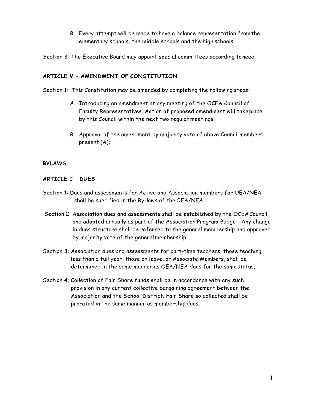B. Every attempt will be made to have a balance representation fromthe elementary schools, the middle schools and the high schools.

Section 3: The Executive Board may appoint special committees according toneed.

# **ARTICLE V – AMENDMENT OF CONSTITUTION**

Section 1: This Constitution may be amended by completing the following steps:

- A. Introducing an amendment at any meeting of the OCEA Council of Faculty Representatives. Action of proposed amendment will take place by this Council within the next two regular meetings;
- B. Approval of the amendment by majority vote of above Councilmembers present (A);

# **BYLAWS**

# **ARTICLE I – DUES**

- Section 1: Dues and assessments for Active and Association members for OEA/NEA shall be specified in the By-laws of the OEA/NEA.
- Section 2: Association dues and assessments shall be established by the OCEACouncil and adopted annually as part of the Association Program Budget. Any change in dues structure shall be referred to the general membership and approved by majority vote of the general membership.
- Section 3: Association dues and assessments for part-time teachers, those teaching less than a full year, those on leave, or Associate Members, shall be determined in the same manner as OEA/NEA dues for the samestatus.
- Section 4: Collection of Fair Share funds shall be in accordance with any such provision in any current collective bargaining agreement between the Association and the School District. Fair Share so collected shall be prorated in the same manner as membership dues.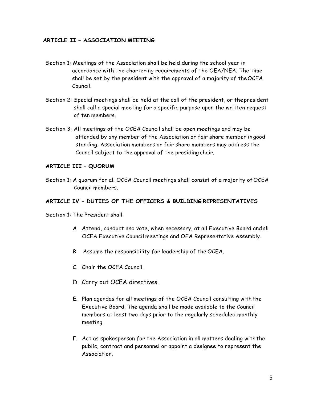#### **ARTICLE II – ASSOCIATION MEETING**

- Section 1: Meetings of the Association shall be held during the school year in accordance with the chartering requirements of the OEA/NEA. The time shall be set by the president with the approval of a majority of theOCEA Council.
- Section 2: Special meetings shall be held at the call of the president, or thepresident shall call a special meeting for a specific purpose upon the written request of ten members.
- Section 3: All meetings of the OCEA Council shall be open meetings and may be attended by any member of the Association or fair share member in good standing. Association members or fair share members may address the Council subject to the approval of the presiding chair.

# **ARTICLE III – QUORUM**

Section 1: A quorum for all OCEA Council meetings shall consist of a majority of OCEA Council members.

# **ARTICLE IV – DUTIES OF THE OFFICERS & BUILDING REPRESENTATIVES**

Section 1: The President shall:

- A Attend, conduct and vote, when necessary, at all Executive Board andall OCEA Executive Council meetings and OEA Representative Assembly.
- B Assume the responsibility for leadership of the OCEA.
- C. Chair the OCEA Council.
- D. Carry out OCEA directives.
- E. Plan agendas for all meetings of the OCEA Council consulting with the Executive Board. The agenda shall be made available to the Council members at least two days prior to the regularly scheduled monthly meeting.
- F. Act as spokesperson for the Association in all matters dealing withthe public, contract and personnel or appoint a designee to represent the **Association**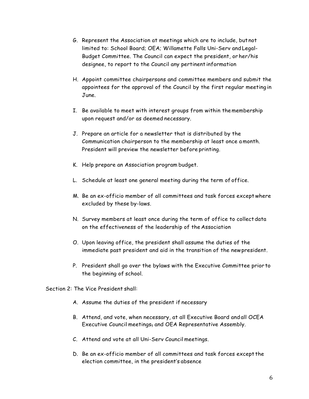- G. Represent the Association at meetings which are to include, but not limited to: School Board; OEA; Willamette Falls Uni-Serv and Legal-Budget Committee. The Council can expect the president, or her/his designee, to report to the Council any pertinent information
- H. Appoint committee chairpersons and committee members and submit the appointees for the approval of the Council by the first regular meeting in June.
- I. Be available to meet with interest groups from within themembership upon request and/or as deemed necessary.
- J. Prepare an article for a newsletter that is distributed by the Communication chairperson to the membership at least once amonth. President will preview the newsletter before printing.
- K. Help prepare an Association program budget.
- L. Schedule at least one general meeting during the term of office.
- M. Be an ex-officio member of all committees and task forces exceptwhere excluded by these by-laws.
- N. Survey members at least once during the term of office to collectdata on the effectiveness of the leadership of the Association
- O. Upon leaving office, the president shall assume the duties of the immediate past president and aid in the transition of the newpresident.
- P. President shall go over the bylaws with the Executive Committee prior to the beginning of school.

Section 2: The Vice President shall:

- A. Assume the duties of the president if necessary
- B. Attend, and vote, when necessary, at all Executive Board andall OCEA Executive Council meetings, and OEA Representative Assembly.
- C. Attend and vote at all Uni-Serv Council meetings.
- D. Be an ex-officio member of all committees and task forces except the election committee, in the president's absence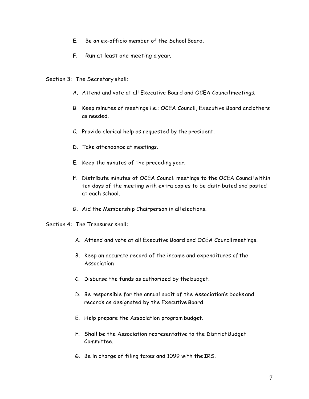- E. Be an ex-officio member of the School Board.
- F. Run at least one meeting a year.

Section 3: The Secretary shall:

- A. Attend and vote at all Executive Board and OCEA Councilmeetings.
- B. Keep minutes of meetings i.e.: OCEA Council, Executive Board andothers as needed.
- C. Provide clerical help as requested by the president.
- D. Take attendance at meetings.
- E. Keep the minutes of the preceding year.
- F. Distribute minutes of OCEA Council meetings to the OCEA Councilwithin ten days of the meeting with extra copies to be distributed and posted at each school.
- G. Aid the Membership Chairperson in all elections.

Section 4: The Treasurer shall:

- A. Attend and vote at all Executive Board and OCEA Councilmeetings.
- B. Keep an accurate record of the income and expenditures of the Association
- C. Disburse the funds as authorized by the budget.
- D. Be responsible for the annual audit of the Association's books and records as designated by the Executive Board.
- E. Help prepare the Association program budget.
- F. Shall be the Association representative to the District Budget Committee.
- G. Be in charge of filing taxes and 1099 with the IRS.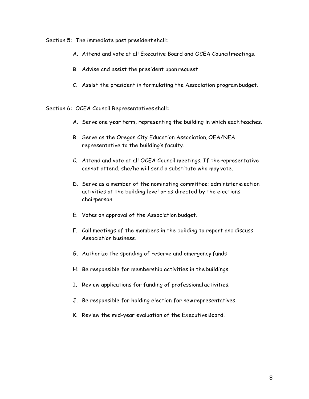#### Section 5: The immediate past president shall**:**

- A. Attend and vote at all Executive Board and OCEA Councilmeetings.
- B. Advise and assist the president upon request
- C. Assist the president in formulating the Association programbudget.

Section 6: OCEA Council Representatives shall**:**

- A. Serve one year term, representing the building in which each teaches.
- B. Serve as the Oregon City Education Association, OEA/NEA representative to the building's faculty.
- C. Attend and vote at all OCEA Council meetings. If the representative cannot attend, she/he will send a substitute who may vote.
- D. Serve as a member of the nominating committee; administer election activities at the building level or as directed by the elections chairperson.
- E. Votes on approval of the Association budget.
- F. Call meetings of the members in the building to report and discuss Association business.
- G. Authorize the spending of reserve and emergency funds
- H. Be responsible for membership activities in the buildings.
- I. Review applications for funding of professional activities.
- J. Be responsible for holding election for new representatives.
- K. Review the mid-year evaluation of the Executive Board.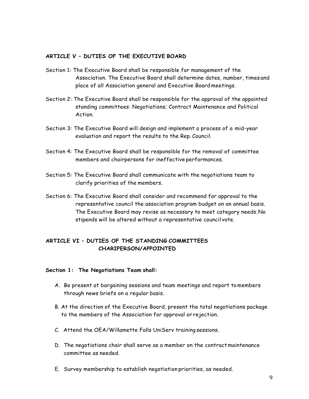#### **ARTICLE V – DUTIES OF THE EXECUTIVE BOARD**

- Section 1: The Executive Board shall be responsible for management of the Association. The Executive Board shall determine dates, number, times and place of all Association general and Executive Board meetings.
- Section 2: The Executive Board shall be responsible for the approval of the appointed standing committees: Negotiations; Contract Maintenance and Political Action.
- Section 3: The Executive Board will design and implement a process of a mid-year evaluation and report the results to the Rep. Council.
- Section 4: The Executive Board shall be responsible for the removal of committee members and chairpersons for ineffective performances.
- Section 5: The Executive Board shall communicate with the negotiations team to clarify priorities of the members.
- Section 6: The Executive Board shall consider and recommend for approval to the representative council the association program budget on an annual basis. The Executive Board may revise as necessary to meet category needs.No stipends will be altered without a representative council vote.

#### **ARTICLE VI – DUTIES OF THE STANDING COMMITTEES CHARIPERSON/APPOINTED**

#### **Section 1: The Negotiations Team shall:**

- A. Be present at bargaining sessions and team meetings and report tomembers through news briefs on a regular basis.
- B. At the direction of the Executive Board, present the total negotiations package to the members of the Association for approval or rejection.
- C. Attend the OEA/Willamette Falls UniServ training sessions.
- D. The negotiations chair shall serve as a member on the contractmaintenance committee as needed.
- E. Survey membership to establish negotiation priorities, as needed.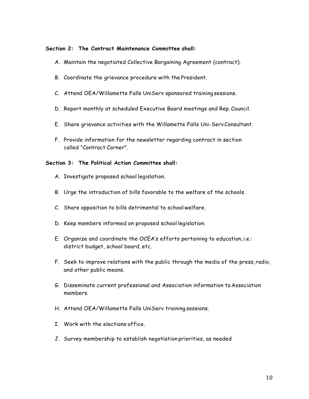#### **Section 2: The Contract Maintenance Committee shall:**

- A. Maintain the negotiated Collective Bargaining Agreement (contract).
- B. Coordinate the grievance procedure with the President.
- C. Attend OEA/Willamette Falls UniServ sponsored training sessions.
- D. Report monthly at scheduled Executive Board meetings and Rep. Council.
- E. Share grievance activities with the Willamette Falls Uni-ServConsultant.
- F. Provide information for the newsletter regarding contract in section called "Contract Corner".

#### **Section 3: The Political Action Committee shall:**

- A. Investigate proposed school legislation.
- B. Urge the introduction of bills favorable to the welfare of the schools.
- C. Share opposition to bills detrimental to schoolwelfare.
- D. Keep members informed on proposed school legislation.
- E. Organize and coordinate the OCEA's efforts pertaining to education,i.e.: district budget, school board, etc.
- F. Seek to improve relations with the public through the media of the press, radio, and other public means.
- G. Disseminate current professional and Association information to Association members.
- H. Attend OEA/Willamette Falls UniServ training sessions.
- I. Work with the elections office.
- J. Survey membership to establish negotiation priorities, as needed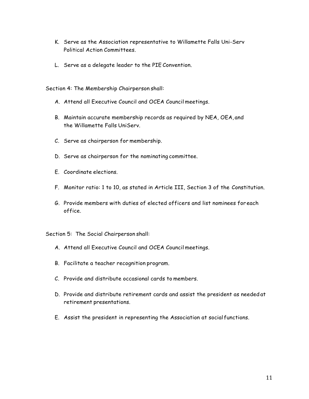- K. Serve as the Association representative to Willamette Falls Uni-Serv Political Action Committees.
- L. Serve as a delegate leader to the PIE Convention.

Section 4: The Membership Chairperson shall:

- A. Attend all Executive Council and OCEA Council meetings.
- B. Maintain accurate membership records as required by NEA, OEA, and the Willamette Falls UniServ.
- C. Serve as chairperson for membership.
- D. Serve as chairperson for the nominating committee.
- E. Coordinate elections.
- F. Monitor ratio: 1 to 10, as stated in Article III, Section 3 of the Constitution.
- G. Provide members with duties of elected officers and list nominees foreach office.

Section 5: The Social Chairperson shall:

- A. Attend all Executive Council and OCEA Council meetings.
- B. Facilitate a teacher recognition program.
- C. Provide and distribute occasional cards to members.
- D. Provide and distribute retirement cards and assist the president as needed at retirement presentations.
- E. Assist the president in representing the Association at social functions.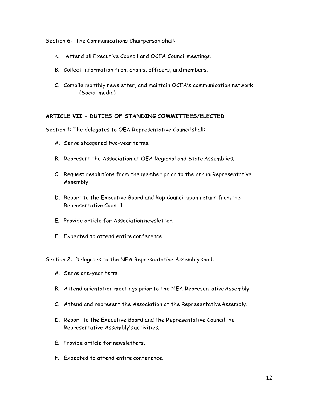Section 6: The Communications Chairperson shall:

- A. Attend all Executive Council and OCEA Council meetings.
- B. Collect information from chairs, officers, and members.
- C. Compile monthly newsletter, and maintain OCEA's communication network (Social media)

#### **ARTICLE VII – DUTIES OF STANDING COMMITTEES/ELECTED**

Section 1: The delegates to OEA Representative Council shall:

- A. Serve staggered two-year terms.
- B. Represent the Association at OEA Regional and State Assemblies.
- C. Request resolutions from the member prior to the annualRepresentative Assembly.
- D. Report to the Executive Board and Rep Council upon return fromthe Representative Council.
- E. Provide article for Association newsletter.
- F. Expected to attend entire conference.

Section 2: Delegates to the NEA Representative Assembly shall:

- A. Serve one-year term.
- B. Attend orientation meetings prior to the NEA Representative Assembly.
- C. Attend and represent the Association at the Representative Assembly.
- D. Report to the Executive Board and the Representative Council the Representative Assembly's activities.
- E. Provide article for newsletters.
- F. Expected to attend entire conference.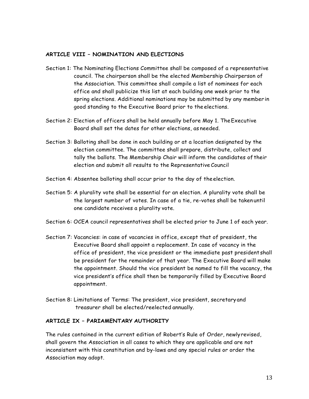#### **ARTICLE VIII – NOMINATION AND ELECTIONS**

- Section 1: The Nominating Elections Committee shall be composed of a representative council. The chairperson shall be the elected Membership Chairperson of the Association. This committee shall compile a list of nominees for each office and shall publicize this list at each building one week prior to the spring elections. Additional nominations may be submitted by any member in good standing to the Executive Board prior to the elections.
- Section 2: Election of officers shall be held annually before May 1. TheExecutive Board shall set the dates for other elections, as needed.
- Section 3: Balloting shall be done in each building or at a location designated by the election committee. The committee shall prepare, distribute, collect and tally the ballots. The Membership Chair will inform the candidates of their election and submit all results to the Representative Council
- Section 4: Absentee balloting shall occur prior to the day of theelection.
- Section 5: A plurality vote shall be essential for an election. A plurality vote shall be the largest number of votes. In case of a tie, re-votes shall be taken until one candidate receives a plurality vote.
- Section 6: OCEA council representatives shall be elected prior to June 1 of each year.
- Section 7: Vacancies: in case of vacancies in office, except that of president, the Executive Board shall appoint a replacement. In case of vacancy in the office of president, the vice president or the immediate past president shall be president for the remainder of that year. The Executive Board will make the appointment. Should the vice president be named to fill the vacancy, the vice president's office shall then be temporarily filled by Executive Board appointment.
- Section 8: Limitations of Terms: The president, vice president, secretary and treasurer shall be elected/reelected annually.

#### **ARTICLE IX – PARIAMENTARY AUTHORITY**

The rules contained in the current edition of Robert's Rule of Order, newlyrevised, shall govern the Association in all cases to which they are applicable and are not inconsistent with this constitution and by-laws and any special rules or order the Association may adopt.